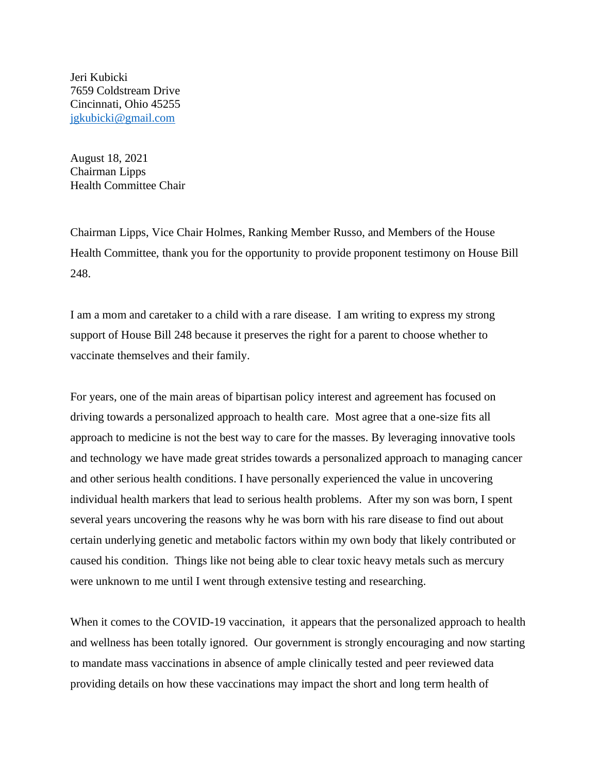Jeri Kubicki 7659 Coldstream Drive Cincinnati, Ohio 45255 [jgkubicki@gmail.com](mailto:jgkubicki@gmail.com)

August 18, 2021 Chairman Lipps Health Committee Chair

Chairman Lipps, Vice Chair Holmes, Ranking Member Russo, and Members of the House Health Committee, thank you for the opportunity to provide proponent testimony on House Bill 248.

I am a mom and caretaker to a child with a rare disease. I am writing to express my strong support of House Bill 248 because it preserves the right for a parent to choose whether to vaccinate themselves and their family.

For years, one of the main areas of bipartisan policy interest and agreement has focused on driving towards a personalized approach to health care. Most agree that a one-size fits all approach to medicine is not the best way to care for the masses. By leveraging innovative tools and technology we have made great strides towards a personalized approach to managing cancer and other serious health conditions. I have personally experienced the value in uncovering individual health markers that lead to serious health problems. After my son was born, I spent several years uncovering the reasons why he was born with his rare disease to find out about certain underlying genetic and metabolic factors within my own body that likely contributed or caused his condition. Things like not being able to clear toxic heavy metals such as mercury were unknown to me until I went through extensive testing and researching.

When it comes to the COVID-19 vaccination, it appears that the personalized approach to health and wellness has been totally ignored. Our government is strongly encouraging and now starting to mandate mass vaccinations in absence of ample clinically tested and peer reviewed data providing details on how these vaccinations may impact the short and long term health of